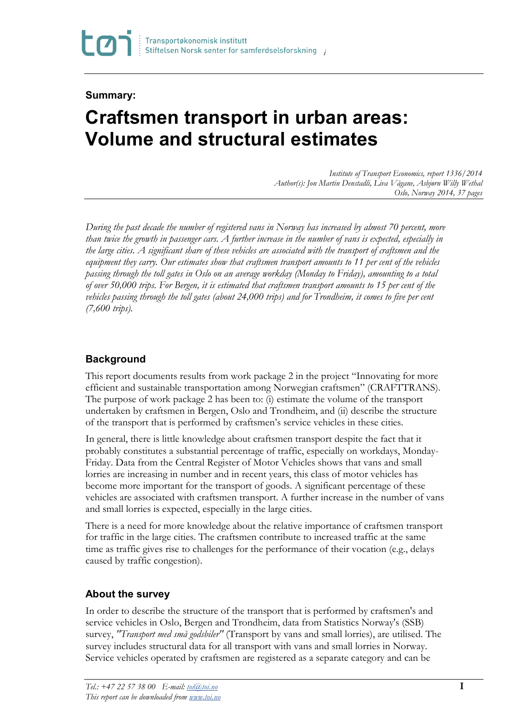# **Summary:**

# **Craftsmen transport in urban areas: Volume and structural estimates**

*Institute of Transport Economics, report 1336/2014 Author(s): Jon Martin Denstadli, Liva Vågane, Asbjørn Willy Wethal Oslo, Norway 2014, 37 pages*

*During the past decade the number of registered vans in Norway has increased by almost 70 percent, more than twice the growth in passenger cars. A further increase in the number of vans is expected, especially in the large cities. A significant share of these vehicles are associated with the transport of craftsmen and the equipment they carry. Our estimates show that craftsmen transport amounts to 11 per cent of the vehicles passing through the toll gates in Oslo on an average workday (Monday to Friday), amounting to a total of over 50,000 trips. For Bergen, it is estimated that craftsmen transport amounts to 15 per cent of the vehicles passing through the toll gates (about 24,000 trips) and for Trondheim, it comes to five per cent (7,600 trips).*

## **Background**

This report documents results from work package 2 in the project "Innovating for more efficient and sustainable transportation among Norwegian craftsmen" (CRAFTTRANS). The purpose of work package 2 has been to: (i) estimate the volume of the transport undertaken by craftsmen in Bergen, Oslo and Trondheim, and (ii) describe the structure of the transport that is performed by craftsmen's service vehicles in these cities.

In general, there is little knowledge about craftsmen transport despite the fact that it probably constitutes a substantial percentage of traffic, especially on workdays, Monday-Friday. Data from the Central Register of Motor Vehicles shows that vans and small lorries are increasing in number and in recent years, this class of motor vehicles has become more important for the transport of goods. A significant percentage of these vehicles are associated with craftsmen transport. A further increase in the number of vans and small lorries is expected, especially in the large cities.

There is a need for more knowledge about the relative importance of craftsmen transport for traffic in the large cities. The craftsmen contribute to increased traffic at the same time as traffic gives rise to challenges for the performance of their vocation (e.g., delays caused by traffic congestion).

#### **About the survey**

In order to describe the structure of the transport that is performed by craftsmen's and service vehicles in Oslo, Bergen and Trondheim, data from Statistics Norway's (SSB) survey, *"Transport med små godsbiler"* (Transport by vans and small lorries), are utilised. The survey includes structural data for all transport with vans and small lorries in Norway. Service vehicles operated by craftsmen are registered as a separate category and can be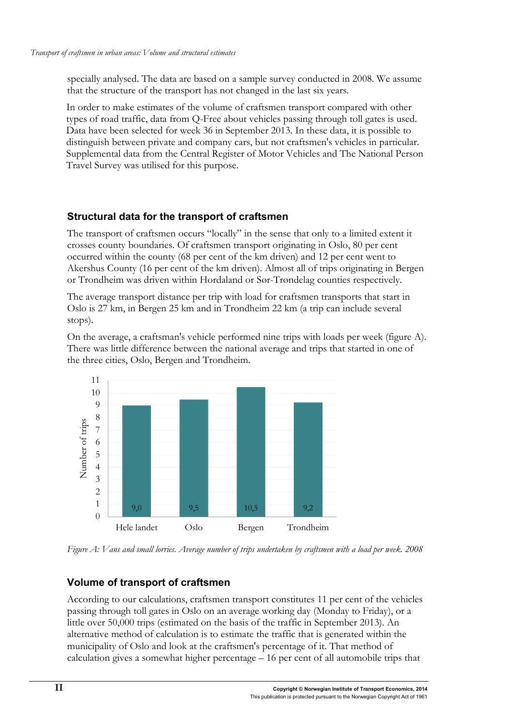specially analysed. The data are based on a sample survey conducted in 2008. We assume that the structure of the transport has not changed in the last six years.

In order to make estimates of the volume of craftsmen transport compared with other types of road traffic, data from Q-Free about vehicles passing through toll gates is used. Data have been selected for week 36 in September 2013. In these data, it is possible to distinguish between private and company cars, but not craftsmen's vehicles in particular. Supplemental data from the Central Register of Motor Vehicles and The National Person Travel Survey was utilised for this purpose.

#### **Structural data for the transport of craftsmen**

The transport of craftsmen occurs "locally" in the sense that only to a limited extent it crosses county boundaries. Of craftsmen transport originating in Oslo, 80 per cent occurred within the county (68 per cent of the km driven) and 12 per cent went to Akershus County (16 per cent of the km driven). Almost all of trips originating in Bergen or Trondheim was driven within Hordaland or Sør-Trøndelag counties respectively.

The average transport distance per trip with load for craftsmen transports that start in Oslo is 27 km, in Bergen 25 km and in Trondheim 22 km (a trip can include several stops).

On the average, a craftsman's vehicle performed nine trips with loads per week (figure A). There was little difference between the national average and trips that started in one of the three cities, Oslo, Bergen and Trondheim.



*Figure A: Vans and small lorries. Average number of trips undertaken by craftsmen with a load per week.* 2008

#### **Volume of transport of craftsmen**

According to our calculations, craftsmen transport constitutes 11 per cent of the vehicles passing through toll gates in Oslo on an average working day (Monday to Friday), or a little over 50,000 trips (estimated on the basis of the traffic in September 2013). An alternative method of calculation is to estimate the traffic that is generated within the municipality of Oslo and look at the craftsmen's percentage of it. That method of calculation gives a somewhat higher percentage – 16 per cent of all automobile trips that